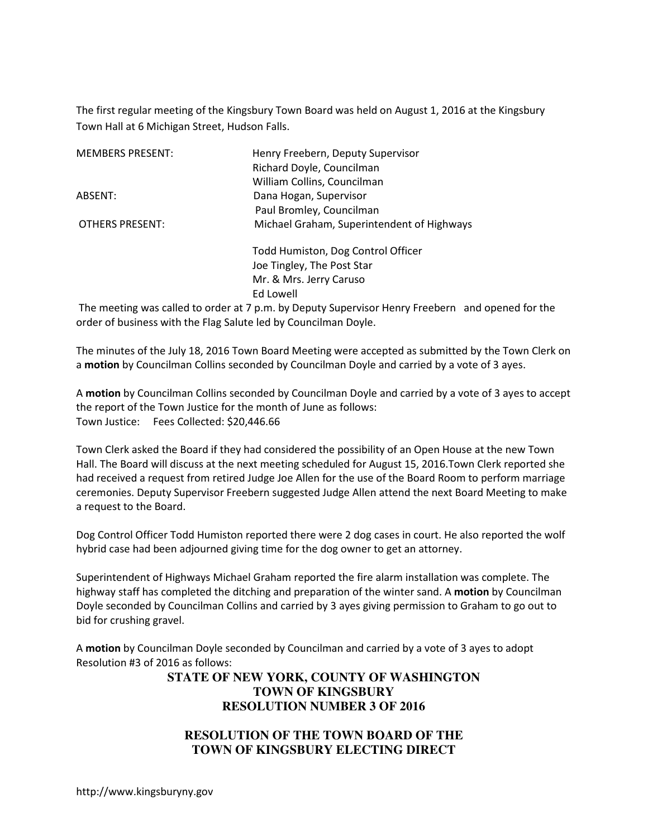The first regular meeting of the Kingsbury Town Board was held on August 1, 2016 at the Kingsbury Town Hall at 6 Michigan Street, Hudson Falls.

| <b>MEMBERS PRESENT:</b> | Henry Freebern, Deputy Supervisor          |
|-------------------------|--------------------------------------------|
|                         | Richard Doyle, Councilman                  |
|                         | William Collins, Councilman                |
| ABSENT:                 | Dana Hogan, Supervisor                     |
|                         | Paul Bromley, Councilman                   |
| <b>OTHERS PRESENT:</b>  | Michael Graham, Superintendent of Highways |
|                         | Todd Humiston, Dog Control Officer         |
|                         | Joe Tingley, The Post Star                 |
|                         | Mr. & Mrs. Jerry Caruso                    |
|                         | Ed Lowell                                  |

 The meeting was called to order at 7 p.m. by Deputy Supervisor Henry Freebern and opened for the order of business with the Flag Salute led by Councilman Doyle.

The minutes of the July 18, 2016 Town Board Meeting were accepted as submitted by the Town Clerk on a **motion** by Councilman Collins seconded by Councilman Doyle and carried by a vote of 3 ayes.

A **motion** by Councilman Collins seconded by Councilman Doyle and carried by a vote of 3 ayes to accept the report of the Town Justice for the month of June as follows: Town Justice: Fees Collected: \$20,446.66

Town Clerk asked the Board if they had considered the possibility of an Open House at the new Town Hall. The Board will discuss at the next meeting scheduled for August 15, 2016.Town Clerk reported she had received a request from retired Judge Joe Allen for the use of the Board Room to perform marriage ceremonies. Deputy Supervisor Freebern suggested Judge Allen attend the next Board Meeting to make a request to the Board.

Dog Control Officer Todd Humiston reported there were 2 dog cases in court. He also reported the wolf hybrid case had been adjourned giving time for the dog owner to get an attorney.

Superintendent of Highways Michael Graham reported the fire alarm installation was complete. The highway staff has completed the ditching and preparation of the winter sand. A **motion** by Councilman Doyle seconded by Councilman Collins and carried by 3 ayes giving permission to Graham to go out to bid for crushing gravel.

A **motion** by Councilman Doyle seconded by Councilman and carried by a vote of 3 ayes to adopt Resolution #3 of 2016 as follows:

## **STATE OF NEW YORK, COUNTY OF WASHINGTON TOWN OF KINGSBURY RESOLUTION NUMBER 3 OF 2016**

## **RESOLUTION OF THE TOWN BOARD OF THE TOWN OF KINGSBURY ELECTING DIRECT**